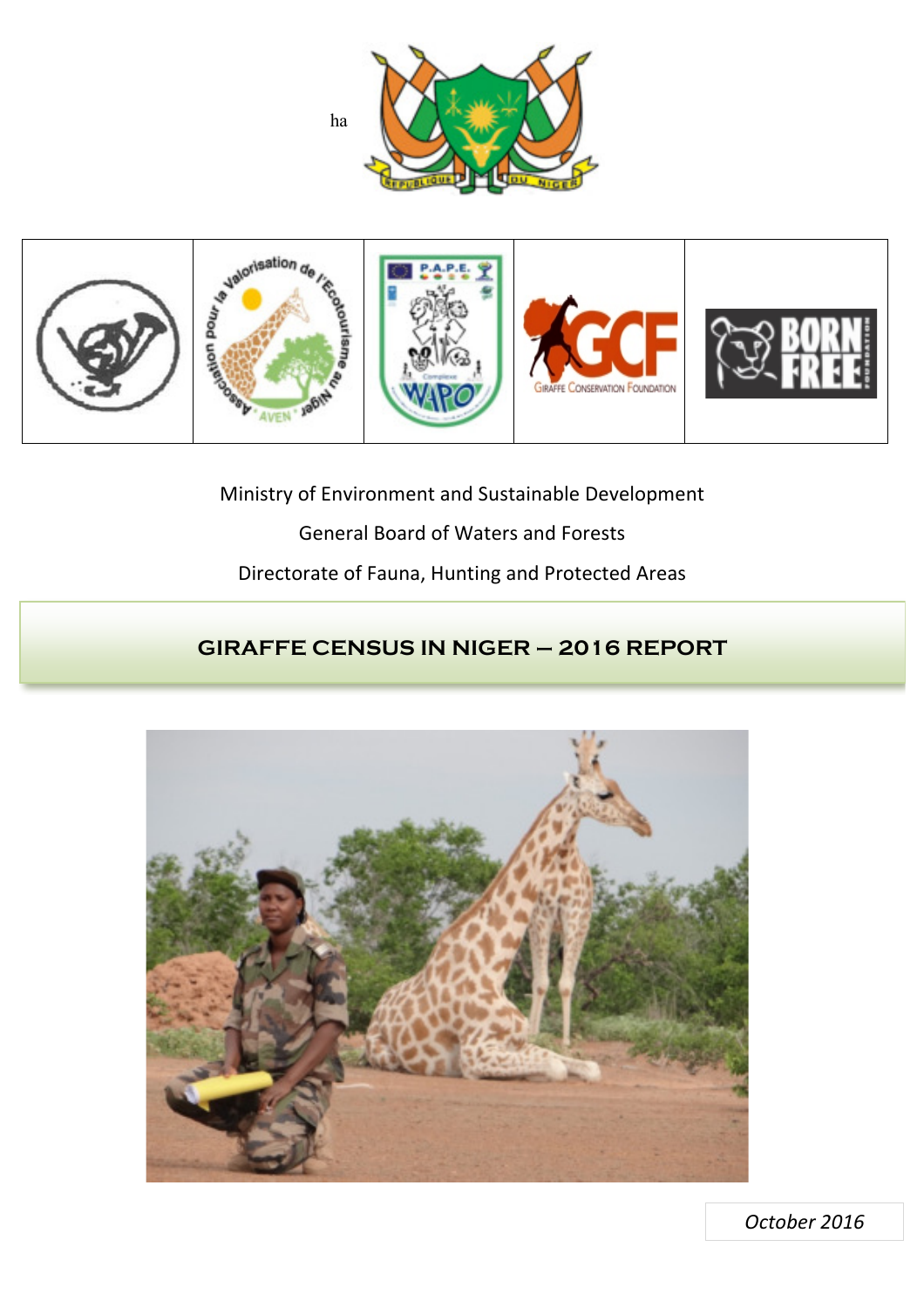



Ministry of Environment and Sustainable Development General Board of Waters and Forests

Directorate of Fauna, Hunting and Protected Areas

# **GIRAFFE CENSUS IN NIGER – 2016 REPORT**



*October 
 2016*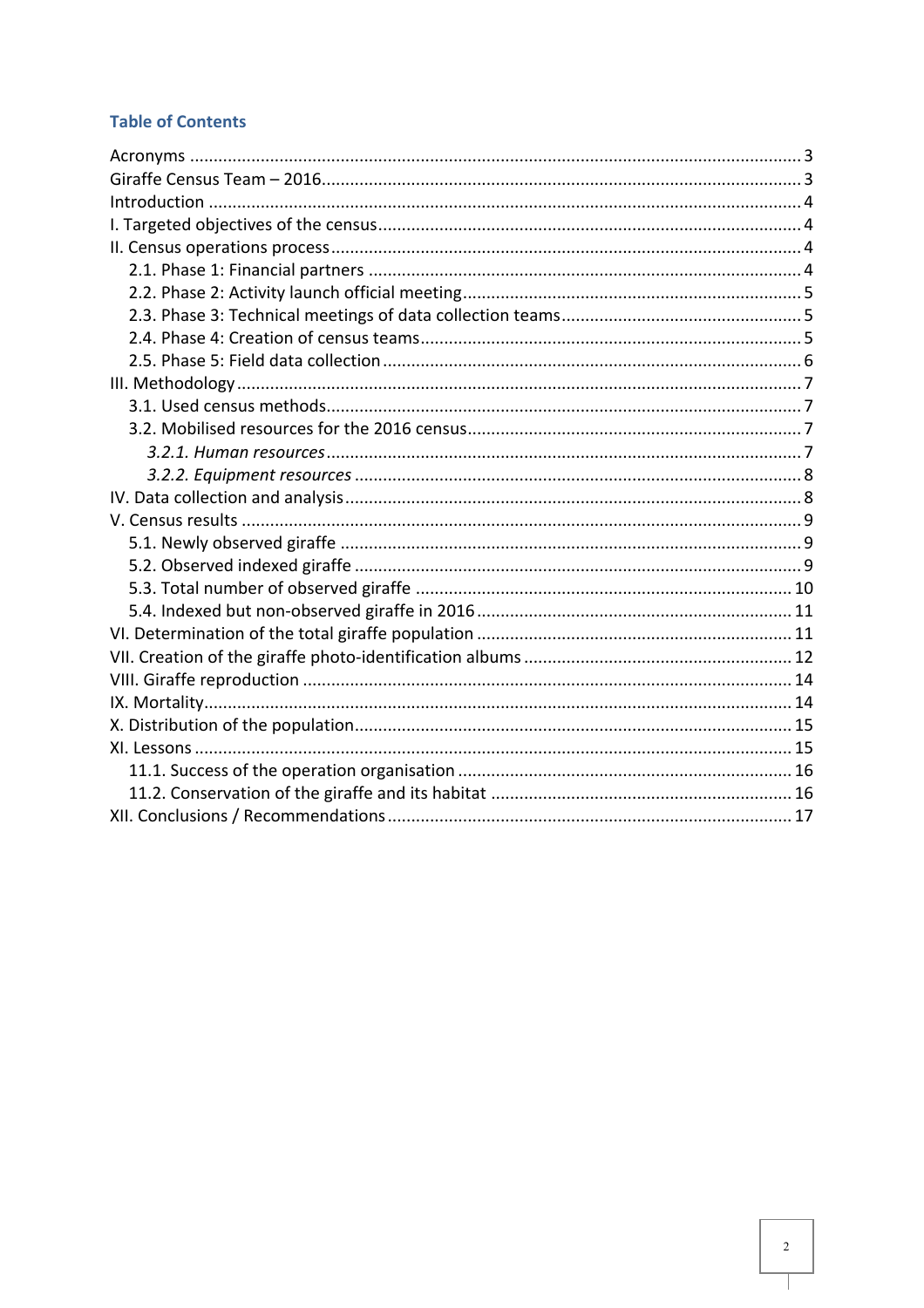## **Table of Contents**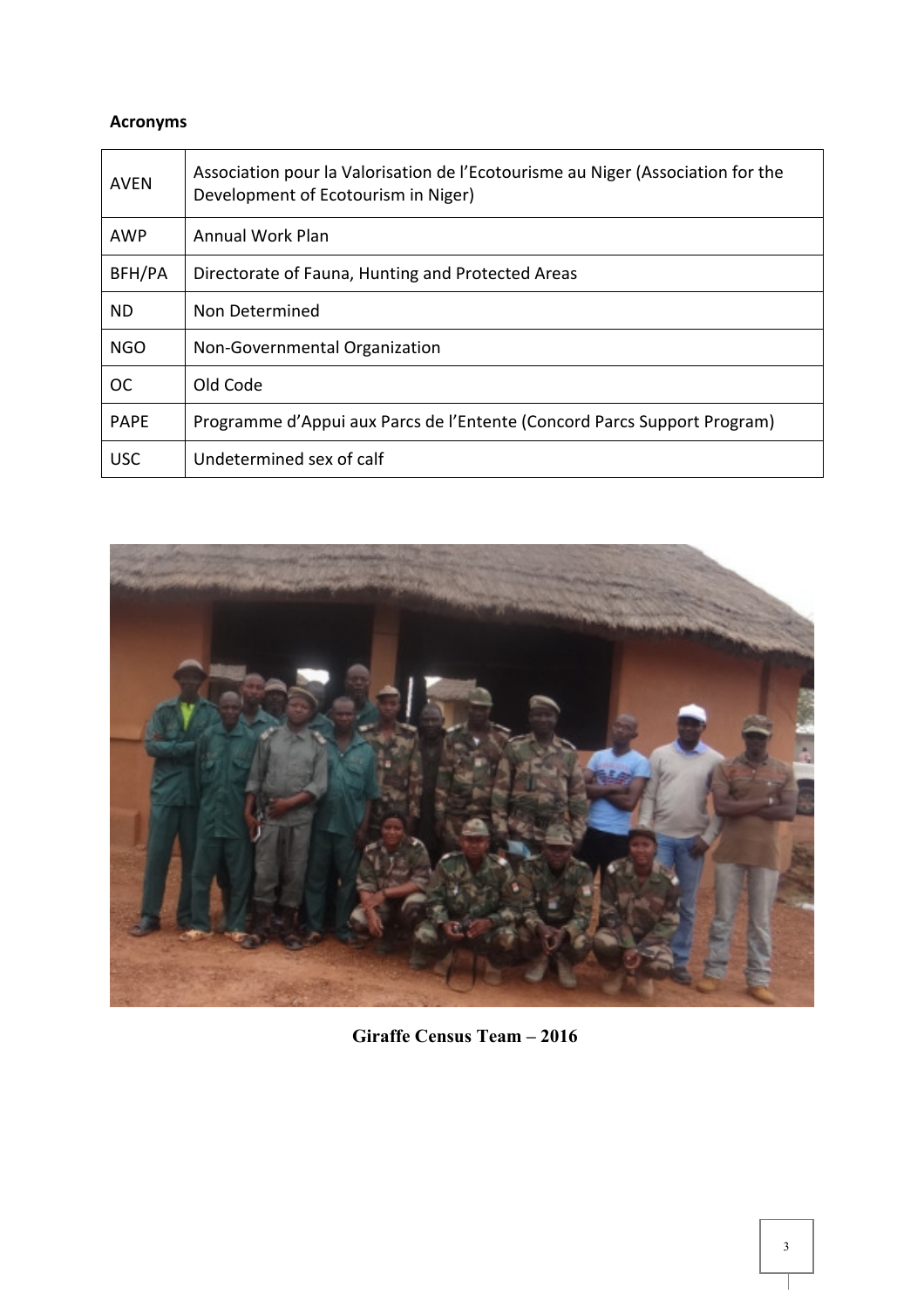## **Acronyms**

| <b>AVEN</b> | Association pour la Valorisation de l'Ecotourisme au Niger (Association for the<br>Development of Ecotourism in Niger) |
|-------------|------------------------------------------------------------------------------------------------------------------------|
| <b>AWP</b>  | Annual Work Plan                                                                                                       |
| BFH/PA      | Directorate of Fauna, Hunting and Protected Areas                                                                      |
| ND.         | Non Determined                                                                                                         |
| <b>NGO</b>  | Non-Governmental Organization                                                                                          |
| <b>OC</b>   | Old Code                                                                                                               |
| <b>PAPE</b> | Programme d'Appui aux Parcs de l'Entente (Concord Parcs Support Program)                                               |
| <b>USC</b>  | Undetermined sex of calf                                                                                               |



 **Giraffe Census Team – 2016**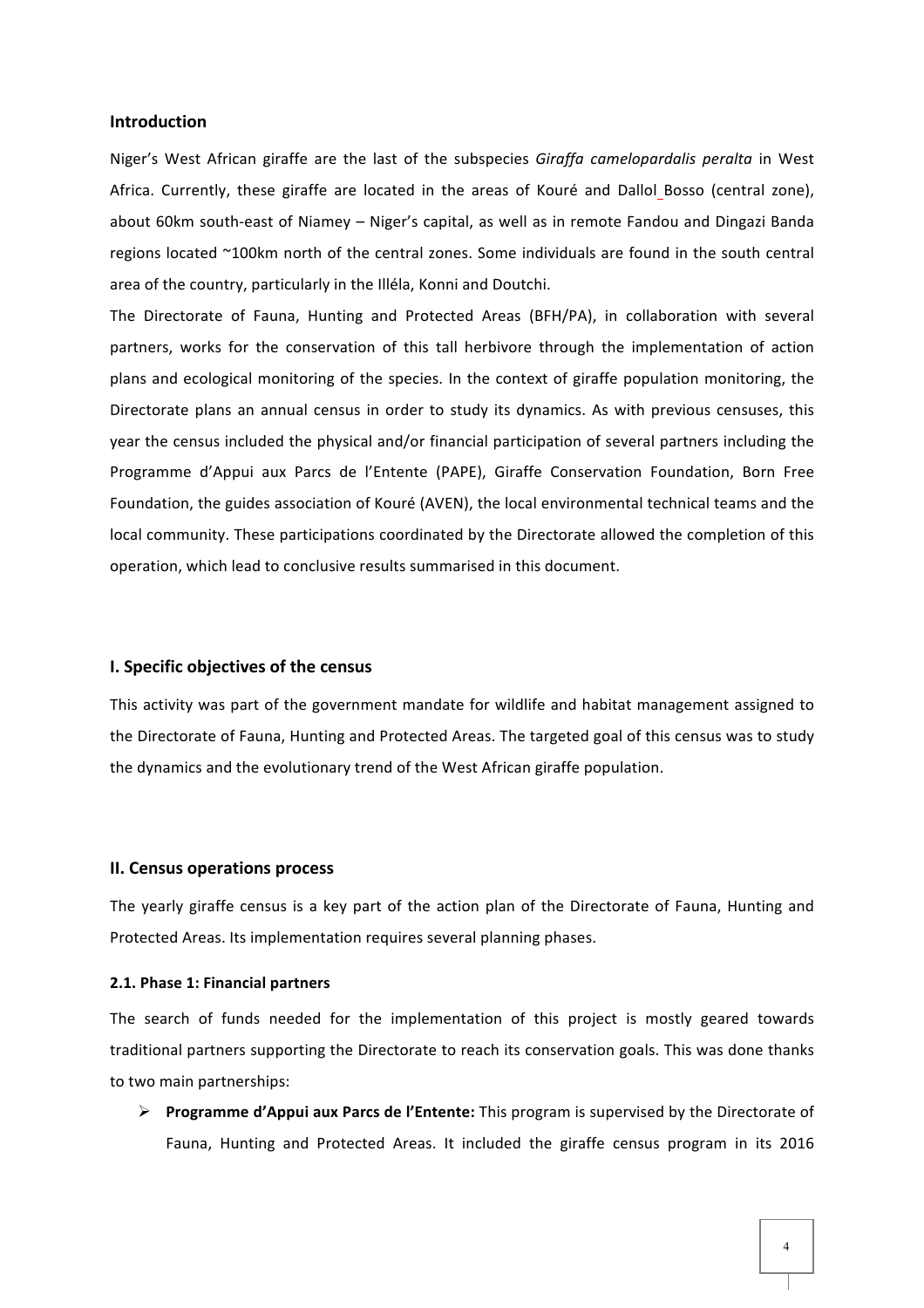#### **Introduction**

Niger's West African giraffe are the last of the subspecies Giraffa camelopardalis peralta in West Africa. Currently, these giraffe are located in the areas of Kouré and Dallol Bosso (central zone), about 60km south-east of Niamey - Niger's capital, as well as in remote Fandou and Dingazi Banda regions located ~100km north of the central zones. Some individuals are found in the south central area of the country, particularly in the Illéla, Konni and Doutchi.

The Directorate of Fauna, Hunting and Protected Areas (BFH/PA), in collaboration with several partners, works for the conservation of this tall herbivore through the implementation of action plans and ecological monitoring of the species. In the context of giraffe population monitoring, the Directorate plans an annual census in order to study its dynamics. As with previous censuses, this year the census included the physical and/or financial participation of several partners including the Programme d'Appui aux Parcs de l'Entente (PAPE), Giraffe Conservation Foundation, Born Free Foundation, the guides association of Kouré (AVEN), the local environmental technical teams and the local community. These participations coordinated by the Directorate allowed the completion of this operation, which lead to conclusive results summarised in this document.

#### **I. 
 Specific objectives 
 of the census**

This activity was part of the government mandate for wildlife and habitat management assigned to the Directorate of Fauna, Hunting and Protected Areas. The targeted goal of this census was to study the dynamics and the evolutionary trend of the West African giraffe population.

#### **II. Census operations process**

The yearly giraffe census is a key part of the action plan of the Directorate of Fauna, Hunting and Protected Areas. Its implementation requires several planning phases.

#### **2.1. Phase 1: Financial partners**

The search of funds needed for the implementation of this project is mostly geared towards traditional partners supporting the Directorate to reach its conservation goals. This was done thanks to two main partnerships:

**▶ Programme d'Appui aux Parcs de l'Entente:** This program is supervised by the Directorate of Fauna, Hunting and Protected Areas. It included the giraffe census program in its 2016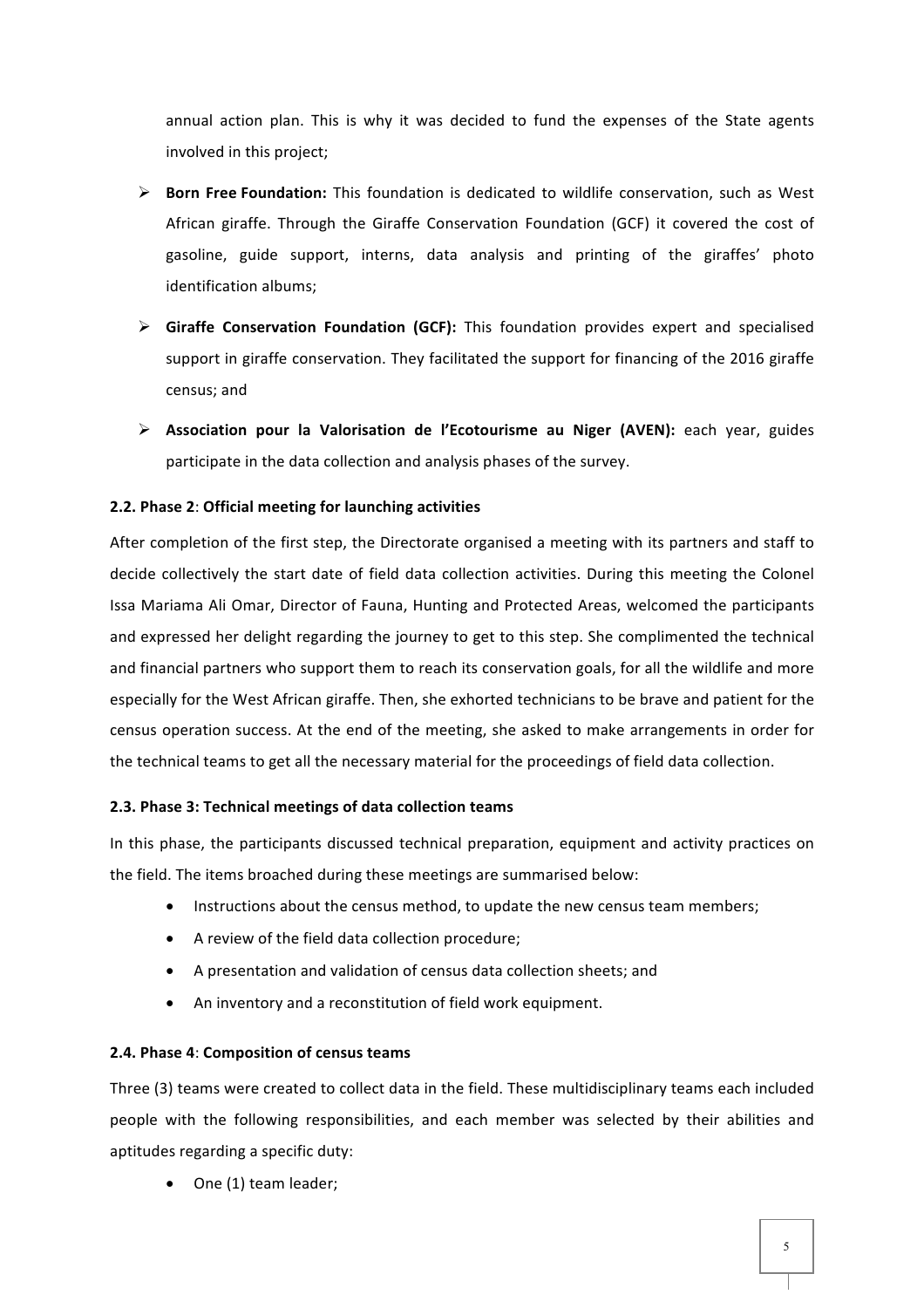annual action plan. This is why it was decided to fund the expenses of the State agents involved in this project;

- > Born Free Foundation: This foundation is dedicated to wildlife conservation, such as West African giraffe. Through the Giraffe Conservation Foundation (GCF) it covered the cost of gasoline, guide support, interns, data analysis and printing of the giraffes' photo identification albums;
- > Giraffe Conservation Foundation (GCF): This foundation provides expert and specialised support in giraffe conservation. They facilitated the support for financing of the 2016 giraffe census; and
- **▶ Association pour la Valorisation de l'Ecotourisme au Niger (AVEN):** each year, guides participate in the data collection and analysis phases of the survey.

## **2.2. Phase 2: Official meeting for launching activities**

After completion of the first step, the Directorate organised a meeting with its partners and staff to decide collectively the start date of field data collection activities. During this meeting the Colonel Issa Mariama Ali Omar, Director of Fauna, Hunting and Protected Areas, welcomed the participants and expressed her delight regarding the journey to get to this step. She complimented the technical and financial partners who support them to reach its conservation goals, for all the wildlife and more especially for the West African giraffe. Then, she exhorted technicians to be brave and patient for the census operation success. At the end of the meeting, she asked to make arrangements in order for the technical teams to get all the necessary material for the proceedings of field data collection.

#### **2.3. Phase 3: Technical meetings of data collection teams**

In this phase, the participants discussed technical preparation, equipment and activity practices on the field. The items broached during these meetings are summarised below:

- Instructions about the census method, to update the new census team members;
- A review of the field data collection procedure;
- A presentation and validation of census data collection sheets; and
- An inventory and a reconstitution of field work equipment.

#### **2.4. 
 Phase 
 4**: 
 **Composition of 
 census teams**

Three (3) teams were created to collect data in the field. These multidisciplinary teams each included people with the following responsibilities, and each member was selected by their abilities and aptitudes regarding a specific duty:

 $\bullet$  One (1) team leader;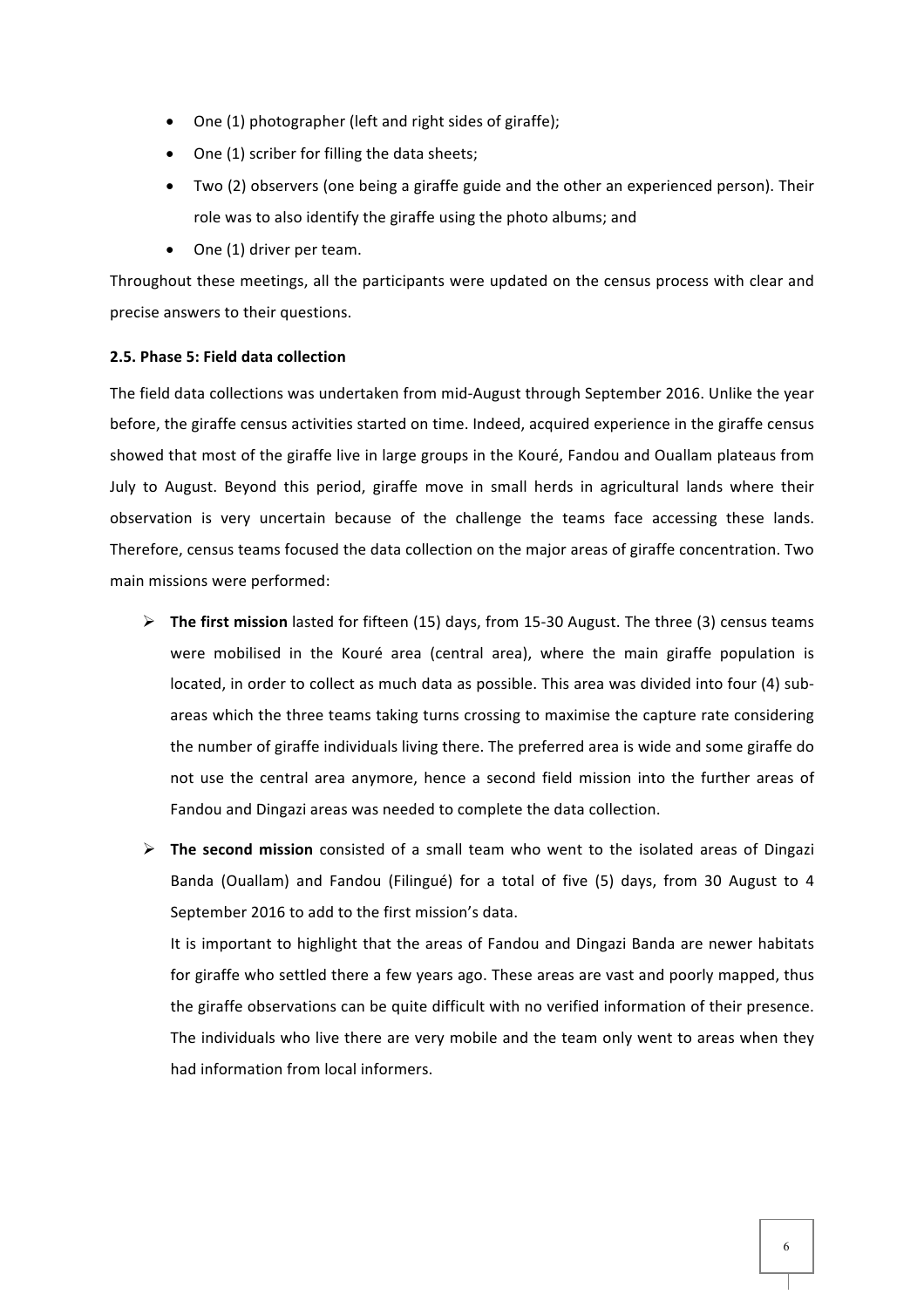- One (1) photographer (left and right sides of giraffe);
- One (1) scriber for filling the data sheets;
- Two (2) observers (one being a giraffe guide and the other an experienced person). Their role was to also identify the giraffe using the photo albums; and
- $\bullet$  One (1) driver per team.

Throughout these meetings, all the participants were updated on the census process with clear and precise answers to their questions.

#### **2.5. 
 Phase 5: Field 
 data 
 collection**

The field data collections was undertaken from mid-August through September 2016. Unlike the year before, the giraffe census activities started on time. Indeed, acquired experience in the giraffe census showed that most of the giraffe live in large groups in the Kouré, Fandou and Ouallam plateaus from July to August. Beyond this period, giraffe move in small herds in agricultural lands where their observation is very uncertain because of the challenge the teams face accessing these lands. Therefore, census teams focused the data collection on the major areas of giraffe concentration. Two main missions were performed:

- $\triangleright$  **The first mission** lasted for fifteen (15) days, from 15-30 August. The three (3) census teams were mobilised in the Kouré area (central area), where the main giraffe population is located, in order to collect as much data as possible. This area was divided into four (4) subareas which the three teams taking turns crossing to maximise the capture rate considering the number of giraffe individuals living there. The preferred area is wide and some giraffe do not use the central area anymore, hence a second field mission into the further areas of Fandou and Dingazi areas was needed to complete the data collection.
- The second mission consisted of a small team who went to the isolated areas of Dingazi Banda (Ouallam) and Fandou (Filingué) for a total of five (5) days, from 30 August to 4 September 2016 to add to the first mission's data.

It is important to highlight that the areas of Fandou and Dingazi Banda are newer habitats for giraffe who settled there a few years ago. These areas are vast and poorly mapped, thus the giraffe observations can be quite difficult with no verified information of their presence. The individuals who live there are very mobile and the team only went to areas when they had information from local informers.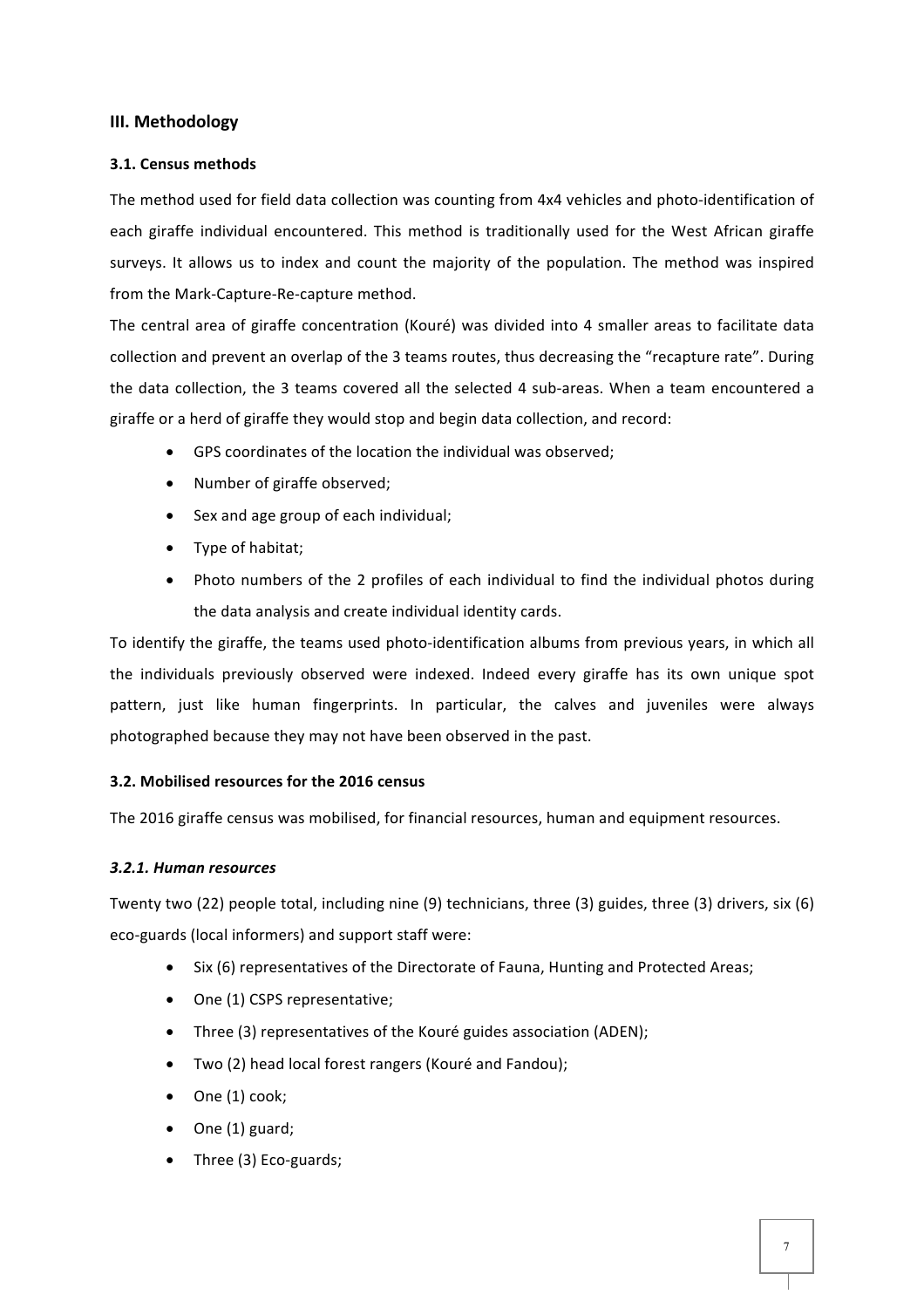### **III.** Methodology

#### **3.1. 
 Census methods**

The method used for field data collection was counting from 4x4 vehicles and photo-identification of each giraffe individual encountered. This method is traditionally used for the West African giraffe surveys. It allows us to index and count the majority of the population. The method was inspired from the Mark-Capture-Re-capture method.

The central area of giraffe concentration (Kouré) was divided into 4 smaller areas to facilitate data collection and prevent an overlap of the 3 teams routes, thus decreasing the "recapture rate". During the data collection, the 3 teams covered all the selected 4 sub-areas. When a team encountered a giraffe or a herd of giraffe they would stop and begin data collection, and record:

- $\bullet$  GPS coordinates of the location the individual was observed:
- Number of giraffe observed;
- Sex and age group of each individual;
- Type of habitat;
- Photo numbers of the 2 profiles of each individual to find the individual photos during the data analysis and create individual identity cards.

To identify the giraffe, the teams used photo-identification albums from previous years, in which all the individuals previously observed were indexed. Indeed every giraffe has its own unique spot pattern, just like human fingerprints. In particular, the calves and juveniles were always photographed because they may not have been observed in the past.

#### **3.2. Mobilised resources for the 2016 census**

The 2016 giraffe census was mobilised, for financial resources, human and equipment resources.

#### *3.2.1. 
 Human 
 resources*

Twenty two (22) people total, including nine (9) technicians, three (3) guides, three (3) drivers, six (6) eco-guards (local informers) and support staff were:

- Six (6) representatives of the Directorate of Fauna, Hunting and Protected Areas;
- One (1) CSPS representative;
- Three (3) representatives of the Kouré guides association (ADEN);
- Two (2) head local forest rangers (Kouré and Fandou);
- $\bullet$  One (1) cook;
- $\bullet$  One (1) guard;
- Three (3) Eco-guards;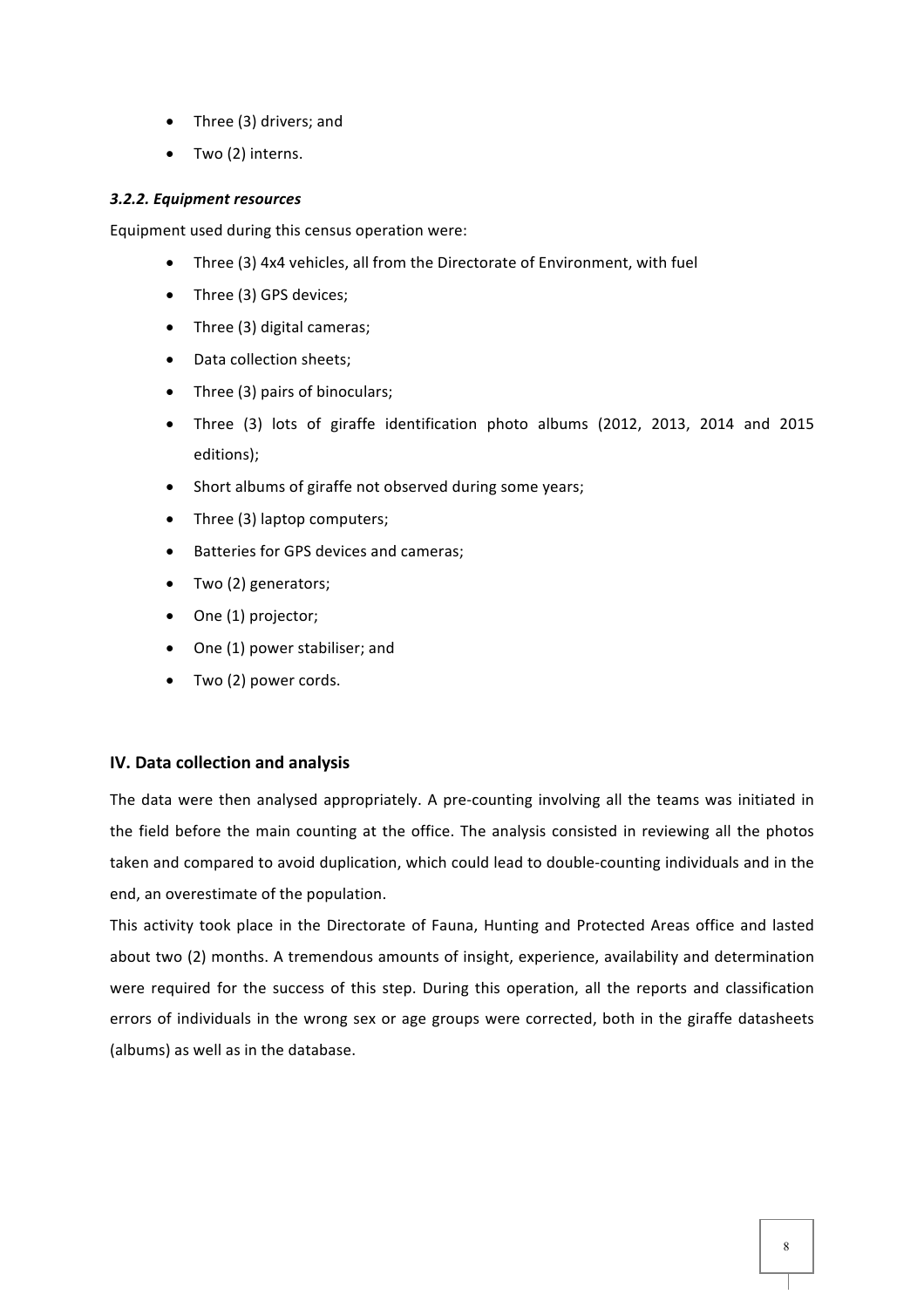- $\bullet$  Three (3) drivers; and
- $\bullet$  Two (2) interns.

#### *3.2.2. 
 Equipment 
 resources*

Equipment used during this census operation were:

- Three (3) 4x4 vehicles, all from the Directorate of Environment, with fuel
- Three (3) GPS devices;
- Three (3) digital cameras;
- Data collection sheets;
- Three (3) pairs of binoculars;
- Three (3) lots of giraffe identification photo albums (2012, 2013, 2014 and 2015 editions);
- Short albums of giraffe not observed during some years;
- Three (3) laptop computers;
- Batteries for GPS devices and cameras;
- Two (2) generators;
- One (1) projector;
- One (1) power stabiliser; and
- Two (2) power cords.

#### **IV.** Data collection and analysis

The data were then analysed appropriately. A pre-counting involving all the teams was initiated in the field before the main counting at the office. The analysis consisted in reviewing all the photos taken and compared to avoid duplication, which could lead to double-counting individuals and in the end, an overestimate of the population.

This activity took place in the Directorate of Fauna, Hunting and Protected Areas office and lasted about two (2) months. A tremendous amounts of insight, experience, availability and determination were required for the success of this step. During this operation, all the reports and classification errors of individuals in the wrong sex or age groups were corrected, both in the giraffe datasheets (albums) as well as in the database.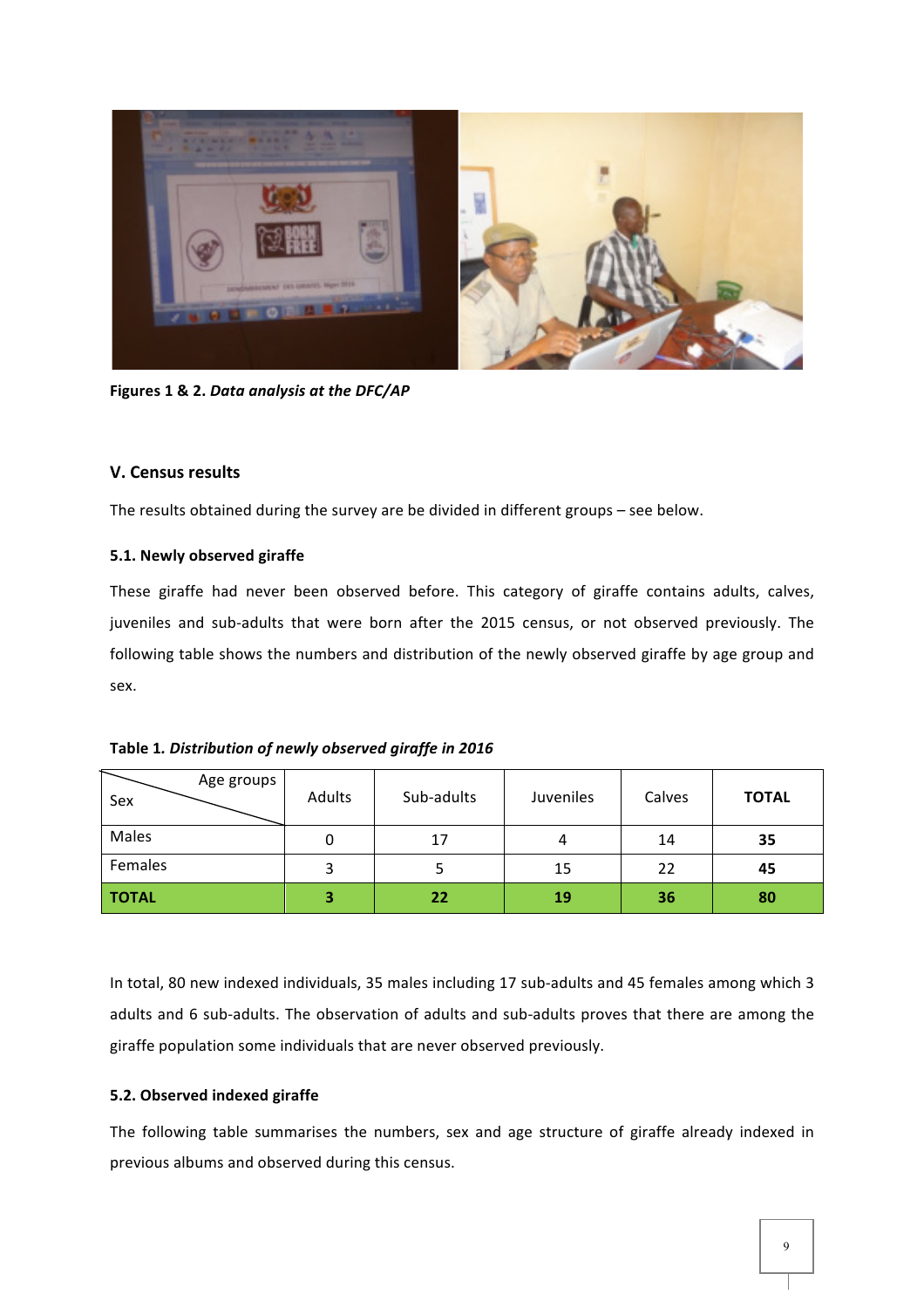

Figures 1 & 2. Data analysis at the DFC/AP

## **V. 
 Census results**

The results obtained during the survey are be divided in different groups - see below.

## **5.1. Newly observed giraffe**

These giraffe had never been observed before. This category of giraffe contains adults, calves, juveniles and sub-adults that were born after the 2015 census, or not observed previously. The following table shows the numbers and distribution of the newly observed giraffe by age group and sex. 

| Table 1. Distribution of newly observed giraffe in 2016 |  |  |  |
|---------------------------------------------------------|--|--|--|
|---------------------------------------------------------|--|--|--|

| Age groups<br>Sex | Adults | Sub-adults | Juveniles | Calves | <b>TOTAL</b> |
|-------------------|--------|------------|-----------|--------|--------------|
| Males             |        | 17         | 4         | 14     | 35           |
| Females           |        |            | 15        | 22     | 45           |
| <b>TOTAL</b>      | 3      | 22         | 19        | 36     | 80           |

In total, 80 new indexed individuals, 35 males including 17 sub-adults and 45 females among which 3 adults and 6 sub-adults. The observation of adults and sub-adults proves that there are among the giraffe population some individuals that are never observed previously.

## **5.2. Observed indexed giraffe**

The following table summarises the numbers, sex and age structure of giraffe already indexed in previous albums and observed during this census.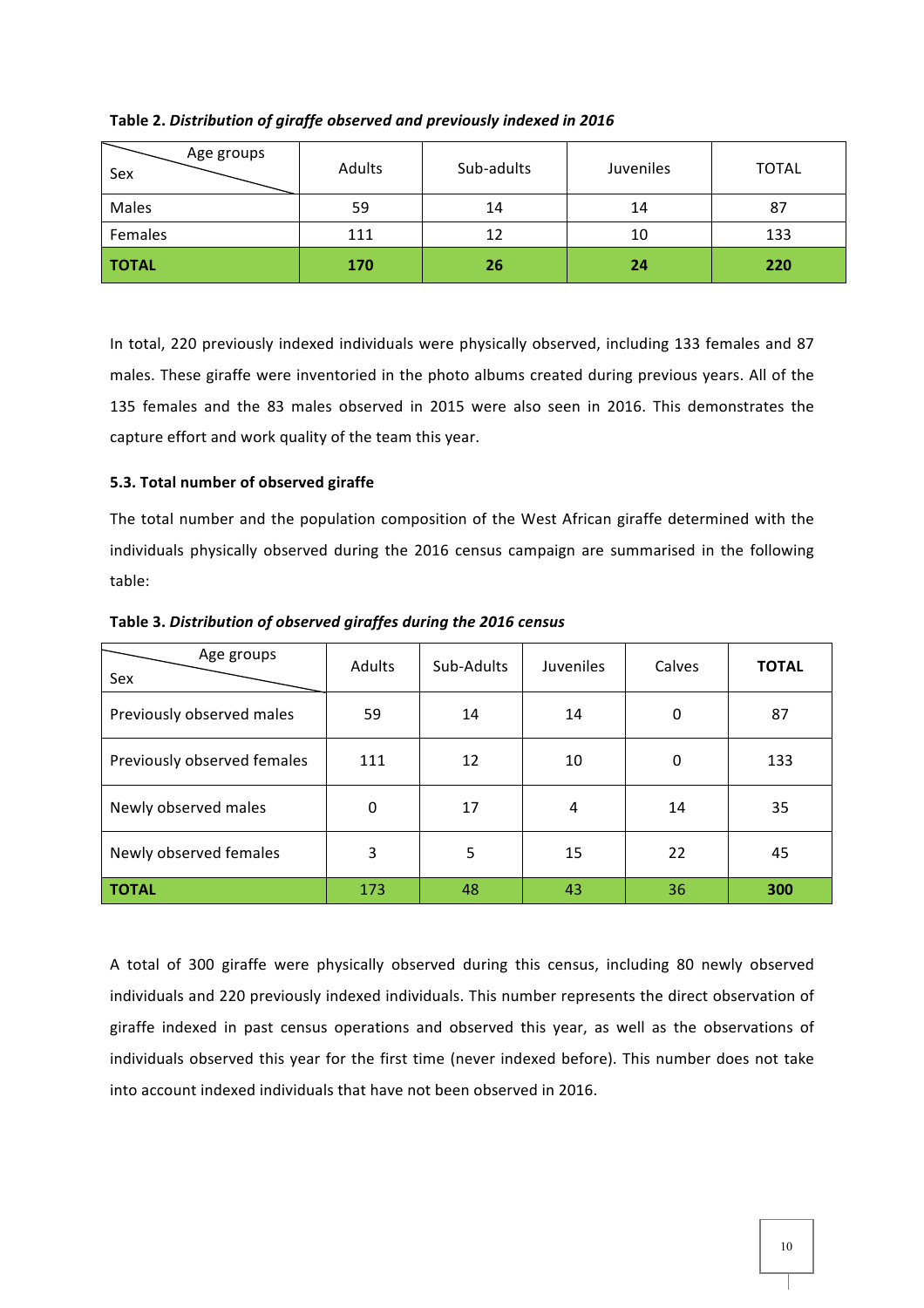| Age groups<br>Sex | Adults | Sub-adults | Juveniles | <b>TOTAL</b> |
|-------------------|--------|------------|-----------|--------------|
| Males             | 59     | 14         | 14        | 87           |
| Females           | 111    | 12         | 10        | 133          |
| <b>TOTAL</b>      | 170    | 26         | 24        | 220          |

Table 2. Distribution of giraffe observed and previously indexed in 2016

In total, 220 previously indexed individuals were physically observed, including 133 females and 87 males. These giraffe were inventoried in the photo albums created during previous years. All of the 135 females and the 83 males observed in 2015 were also seen in 2016. This demonstrates the capture effort and work quality of the team this year.

## **5.3. Total number of observed giraffe**

The total number and the population composition of the West African giraffe determined with the individuals physically observed during the 2016 census campaign are summarised in the following table: 

| Age groups<br>Sex           | <b>Adults</b> | Sub-Adults | <b>Juveniles</b> | Calves | <b>TOTAL</b> |
|-----------------------------|---------------|------------|------------------|--------|--------------|
| Previously observed males   | 59            | 14         | 14               | 0      | 87           |
| Previously observed females | 111           | 12         | 10               | 0      | 133          |
| Newly observed males        | 0             | 17         | 4                | 14     | 35           |
| Newly observed females      | 3             | 5          | 15               | 22     | 45           |
| <b>TOTAL</b>                | 173           | 48         | 43               | 36     | 300          |

Table 3. Distribution of observed giraffes during the 2016 census

A total of 300 giraffe were physically observed during this census, including 80 newly observed individuals and 220 previously indexed individuals. This number represents the direct observation of giraffe indexed in past census operations and observed this year, as well as the observations of individuals observed this year for the first time (never indexed before). This number does not take into account indexed individuals that have not been observed in 2016.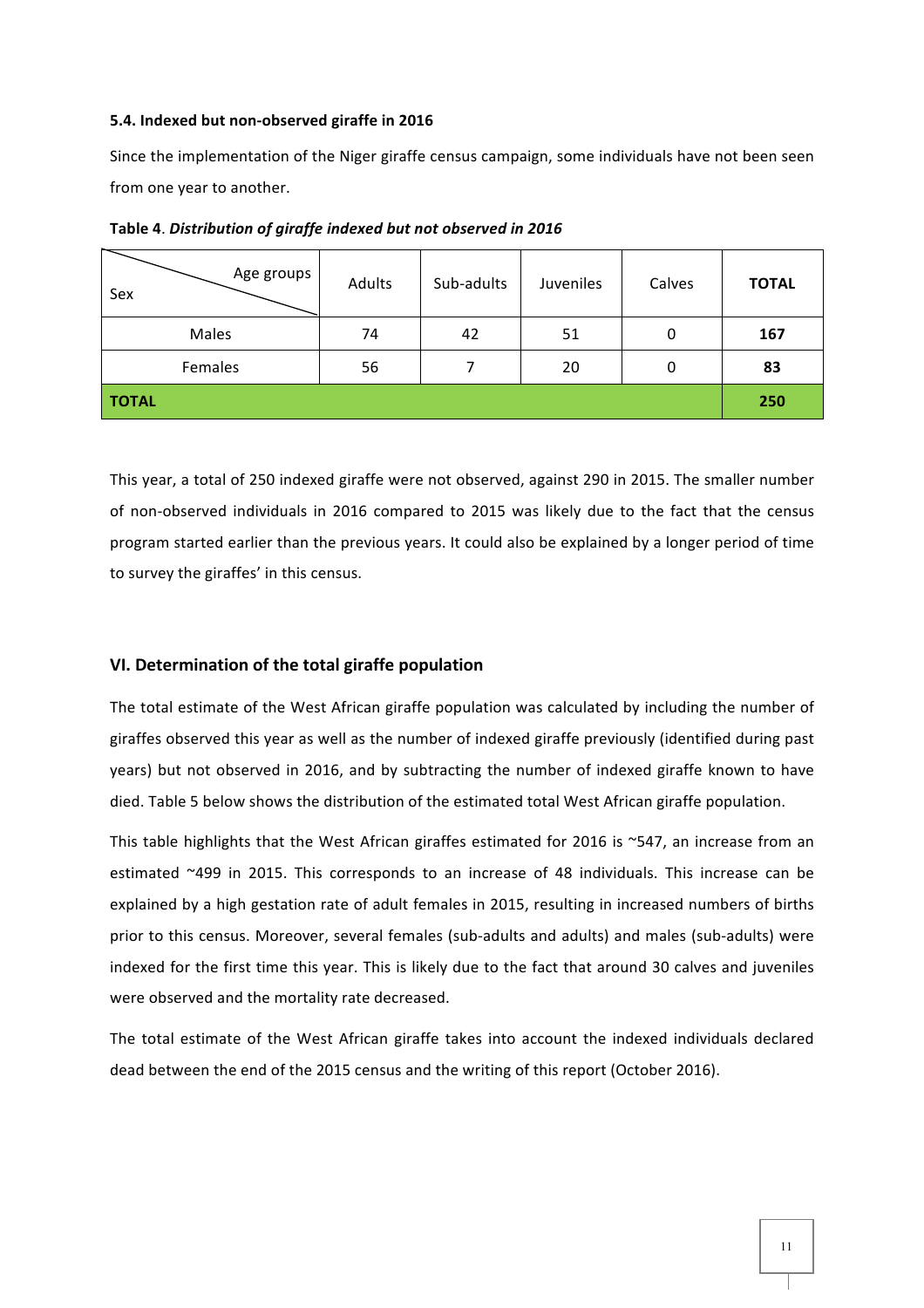#### 5.4. Indexed but non-observed giraffe in 2016

Since the implementation of the Niger giraffe census campaign, some individuals have not been seen from one year to another.

| Age groups<br>Sex | Adults | Sub-adults | Juveniles | Calves | <b>TOTAL</b> |
|-------------------|--------|------------|-----------|--------|--------------|
| Males             | 74     | 42         | 51        | 0      | 167          |
| Females           | 56     |            | 20        | 0      | 83           |
| <b>TOTAL</b>      |        |            |           |        | 250          |

Table 4. Distribution of giraffe indexed but not observed in 2016

This year, a total of 250 indexed giraffe were not observed, against 290 in 2015. The smaller number of non-observed individuals in 2016 compared to 2015 was likely due to the fact that the census program started earlier than the previous years. It could also be explained by a longer period of time to survey the giraffes' in this census.

#### VI. Determination of the total giraffe population

The total estimate of the West African giraffe population was calculated by including the number of giraffes observed this year as well as the number of indexed giraffe previously (identified during past years) but not observed in 2016, and by subtracting the number of indexed giraffe known to have died. Table 5 below shows the distribution of the estimated total West African giraffe population.

This table highlights that the West African giraffes estimated for 2016 is ~547, an increase from an estimated  $~499$  in 2015. This corresponds to an increase of 48 individuals. This increase can be explained by a high gestation rate of adult females in 2015, resulting in increased numbers of births prior to this census. Moreover, several females (sub-adults and adults) and males (sub-adults) were indexed for the first time this year. This is likely due to the fact that around 30 calves and juveniles were observed and the mortality rate decreased.

The total estimate of the West African giraffe takes into account the indexed individuals declared dead between the end of the 2015 census and the writing of this report (October 2016).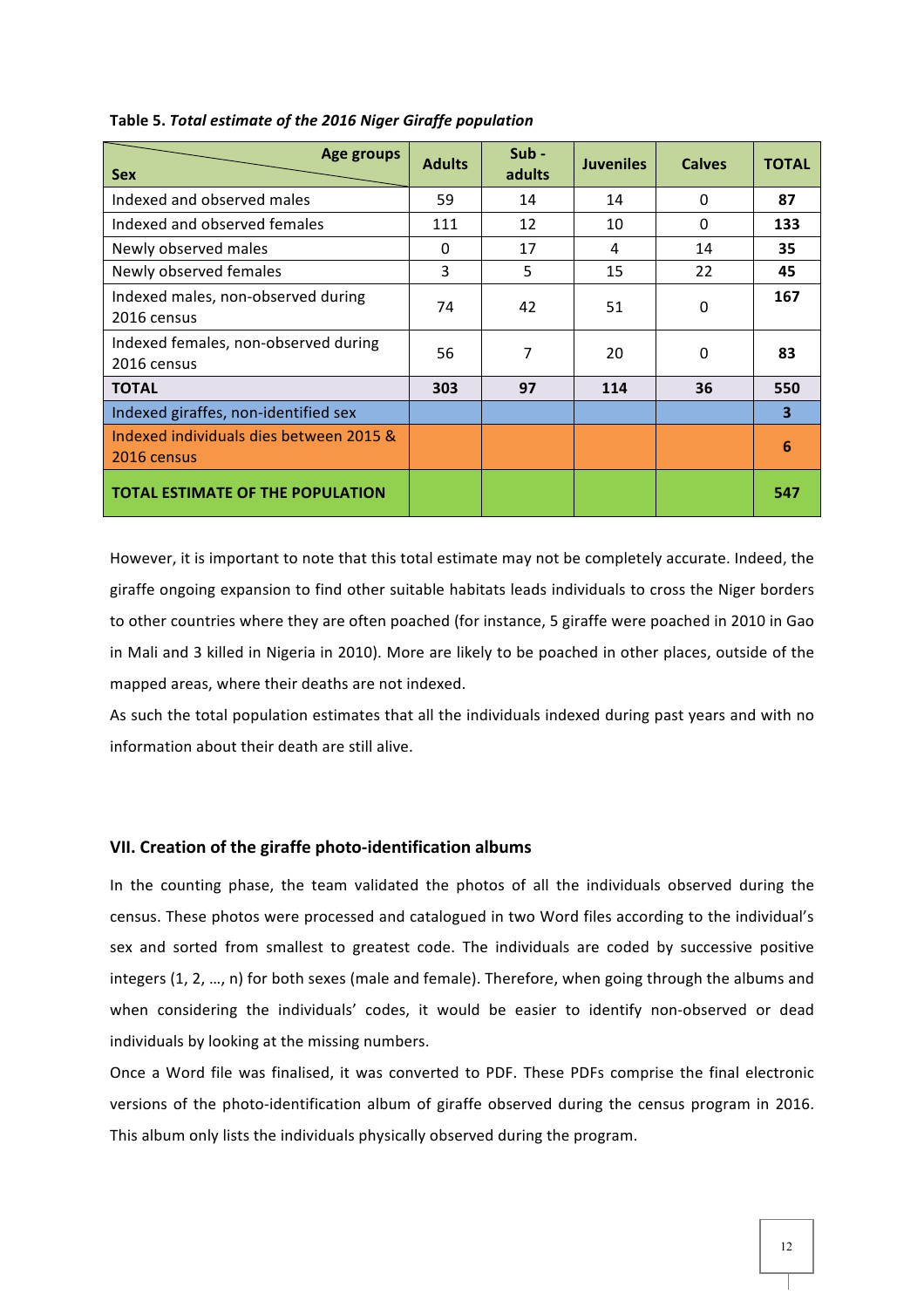| Age groups<br><b>Sex</b>                               | <b>Adults</b> | Sub-<br>adults | <b>Juveniles</b> | <b>Calves</b> | <b>TOTAL</b> |
|--------------------------------------------------------|---------------|----------------|------------------|---------------|--------------|
| Indexed and observed males                             | 59            | 14             | 14               | $\Omega$      | 87           |
| Indexed and observed females                           | 111           | 12             | 10               | 0             | 133          |
| Newly observed males                                   | 0             | 17             | 4                | 14            | 35           |
| Newly observed females                                 | 3             | 5              | 15               | 22            | 45           |
| Indexed males, non-observed during<br>2016 census      | 74            | 42             | 51               | 0             | 167          |
| Indexed females, non-observed during<br>2016 census    | 56            | 7              | 20               | $\Omega$      | 83           |
| <b>TOTAL</b>                                           | 303           | 97             | 114              | 36            | 550          |
| Indexed giraffes, non-identified sex                   |               |                |                  |               | 3            |
| Indexed individuals dies between 2015 &<br>2016 census |               |                |                  |               | 6            |
| <b>TOTAL ESTIMATE OF THE POPULATION</b>                |               |                |                  |               | 547          |

#### Table 5. Total estimate of the 2016 Niger Giraffe population

However, it is important to note that this total estimate may not be completely accurate. Indeed, the giraffe ongoing expansion to find other suitable habitats leads individuals to cross the Niger borders to other countries where they are often poached (for instance, 5 giraffe were poached in 2010 in Gao in Mali and 3 killed in Nigeria in 2010). More are likely to be poached in other places, outside of the mapped areas, where their deaths are not indexed.

As such the total population estimates that all the individuals indexed during past years and with no information about their death are still alive.

#### **VII. Creation of the giraffe photo-identification albums**

In the counting phase, the team validated the photos of all the individuals observed during the census. These photos were processed and catalogued in two Word files according to the individual's sex and sorted from smallest to greatest code. The individuals are coded by successive positive integers (1, 2, ..., n) for both sexes (male and female). Therefore, when going through the albums and when considering the individuals' codes, it would be easier to identify non-observed or dead individuals by looking at the missing numbers.

Once a Word file was finalised, it was converted to PDF. These PDFs comprise the final electronic versions of the photo-identification album of giraffe observed during the census program in 2016. This album only lists the individuals physically observed during the program.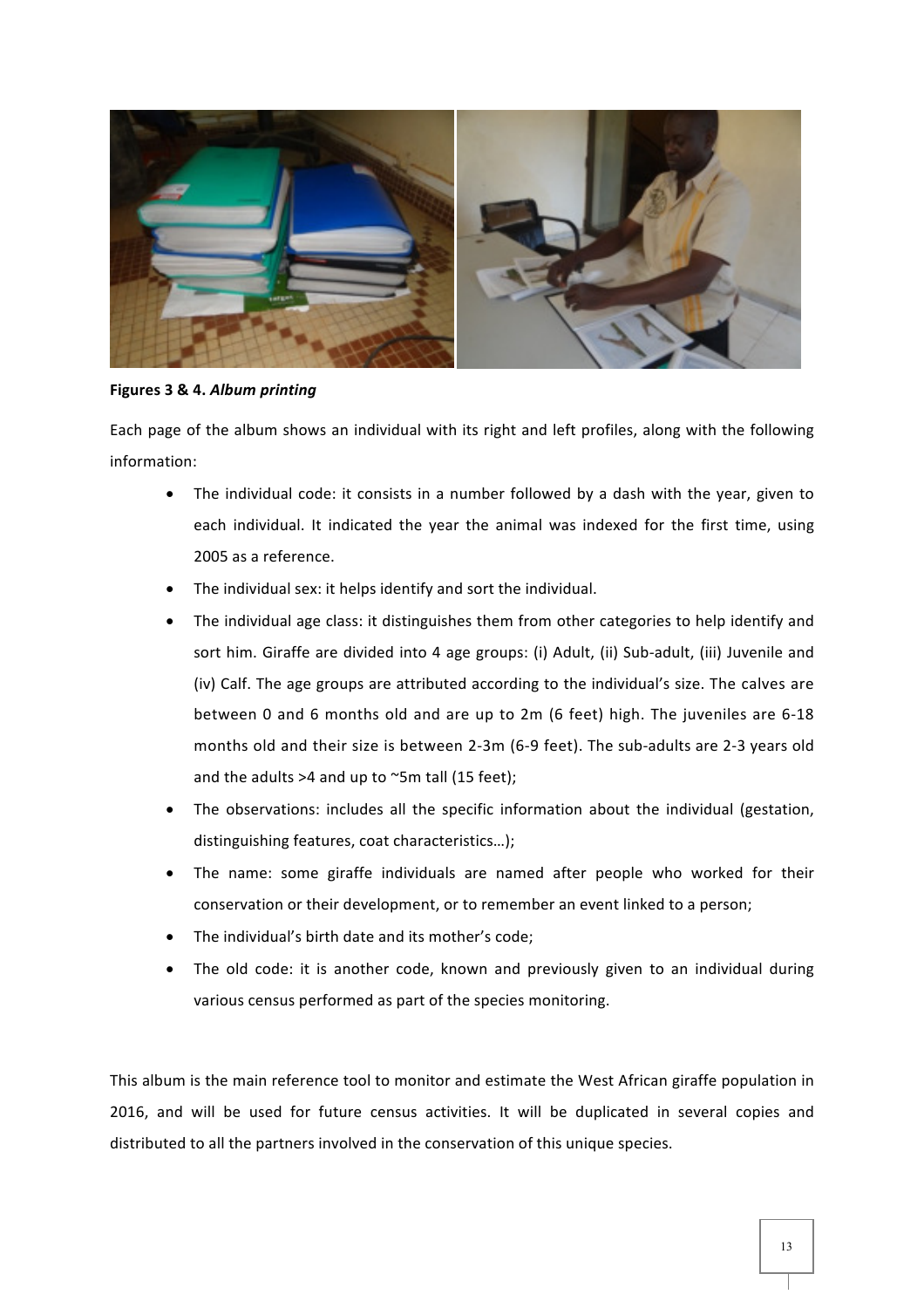

Figures 3 & 4. Album printing

Each page of the album shows an individual with its right and left profiles, along with the following information:

- The individual code: it consists in a number followed by a dash with the year, given to each individual. It indicated the year the animal was indexed for the first time, using 2005 as a reference.
- The individual sex: it helps identify and sort the individual.
- The individual age class: it distinguishes them from other categories to help identify and sort him. Giraffe are divided into 4 age groups: (i) Adult, (ii) Sub-adult, (iii) Juvenile and (iv) Calf. The age groups are attributed according to the individual's size. The calves are between 0 and 6 months old and are up to 2m (6 feet) high. The juveniles are 6-18 months old and their size is between 2-3m (6-9 feet). The sub-adults are 2-3 years old and the adults  $>4$  and up to  $\sim$ 5m tall (15 feet);
- The observations: includes all the specific information about the individual (gestation, distinguishing features, coat characteristics...);
- The name: some giraffe individuals are named after people who worked for their conservation or their development, or to remember an event linked to a person;
- The individual's birth date and its mother's code;
- The old code: it is another code, known and previously given to an individual during various census performed as part of the species monitoring.

This album is the main reference tool to monitor and estimate the West African giraffe population in 2016, and will be used for future census activities. It will be duplicated in several copies and distributed to all the partners involved in the conservation of this unique species.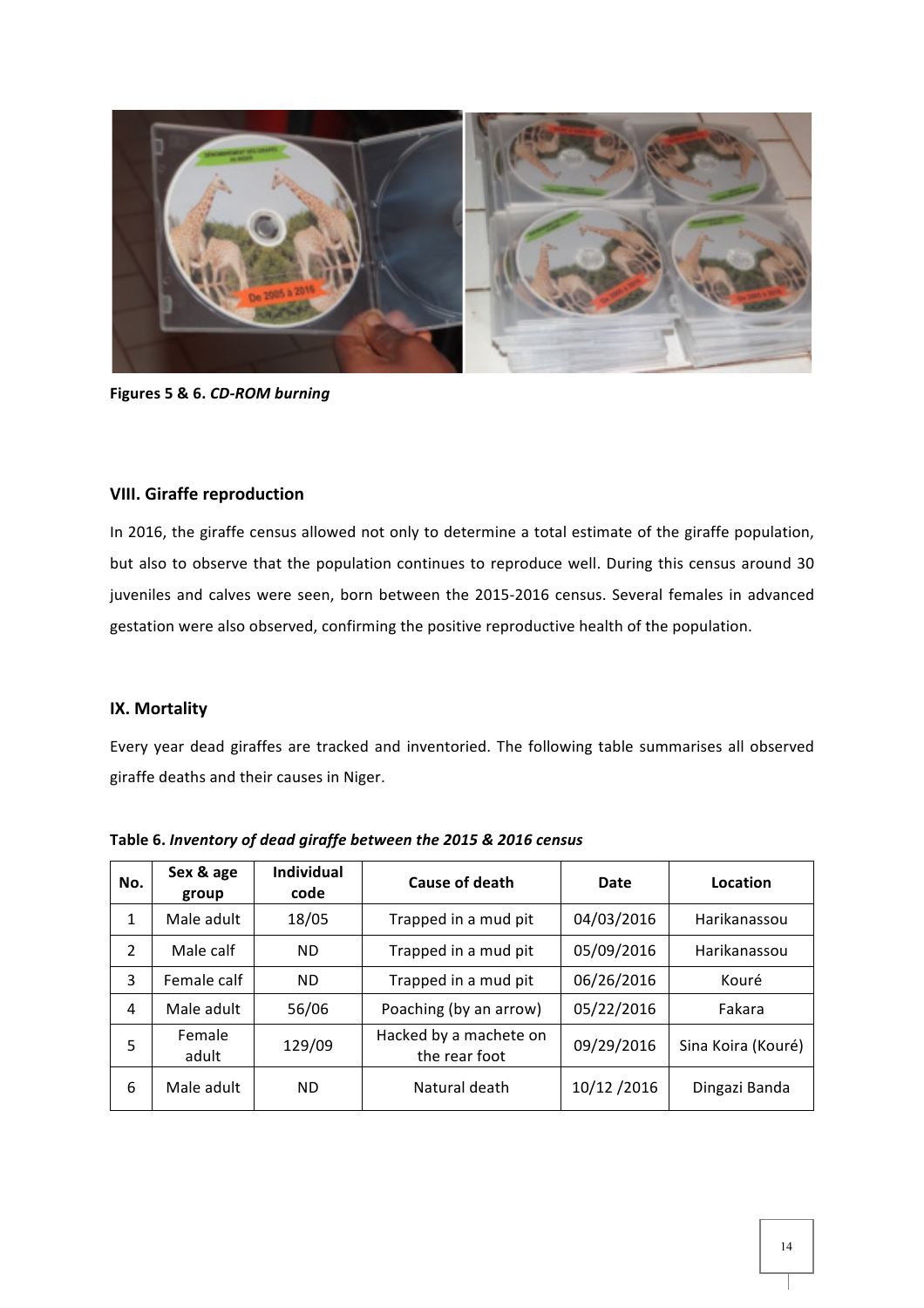

Figures 5 & 6. CD-ROM burning

## **VIII. 
 Giraffe reproduction**

In 2016, the giraffe census allowed not only to determine a total estimate of the giraffe population, but also to observe that the population continues to reproduce well. During this census around 30 juveniles and calves were seen, born between the 2015-2016 census. Several females in advanced gestation were also observed, confirming the positive reproductive health of the population.

### **IX. Mortality**

Every year dead giraffes are tracked and inventoried. The following table summarises all observed giraffe deaths and their causes in Niger.

| No. | Sex & age<br>group | <b>Individual</b><br>code | <b>Cause of death</b>                   | Date       | Location           |
|-----|--------------------|---------------------------|-----------------------------------------|------------|--------------------|
| 1   | Male adult         | 18/05                     | Trapped in a mud pit                    | 04/03/2016 | Harikanassou       |
| 2   | Male calf          | <b>ND</b>                 | Trapped in a mud pit                    | 05/09/2016 | Harikanassou       |
| 3   | Female calf        | <b>ND</b>                 | Trapped in a mud pit                    | 06/26/2016 | Kouré              |
| 4   | Male adult         | 56/06                     | Poaching (by an arrow)                  | 05/22/2016 | Fakara             |
| 5   | Female<br>adult    | 129/09                    | Hacked by a machete on<br>the rear foot | 09/29/2016 | Sina Koira (Kouré) |
| 6   | Male adult         | ND.                       | Natural death                           | 10/12/2016 | Dingazi Banda      |

Table 6. Inventory of dead giraffe between the 2015 & 2016 census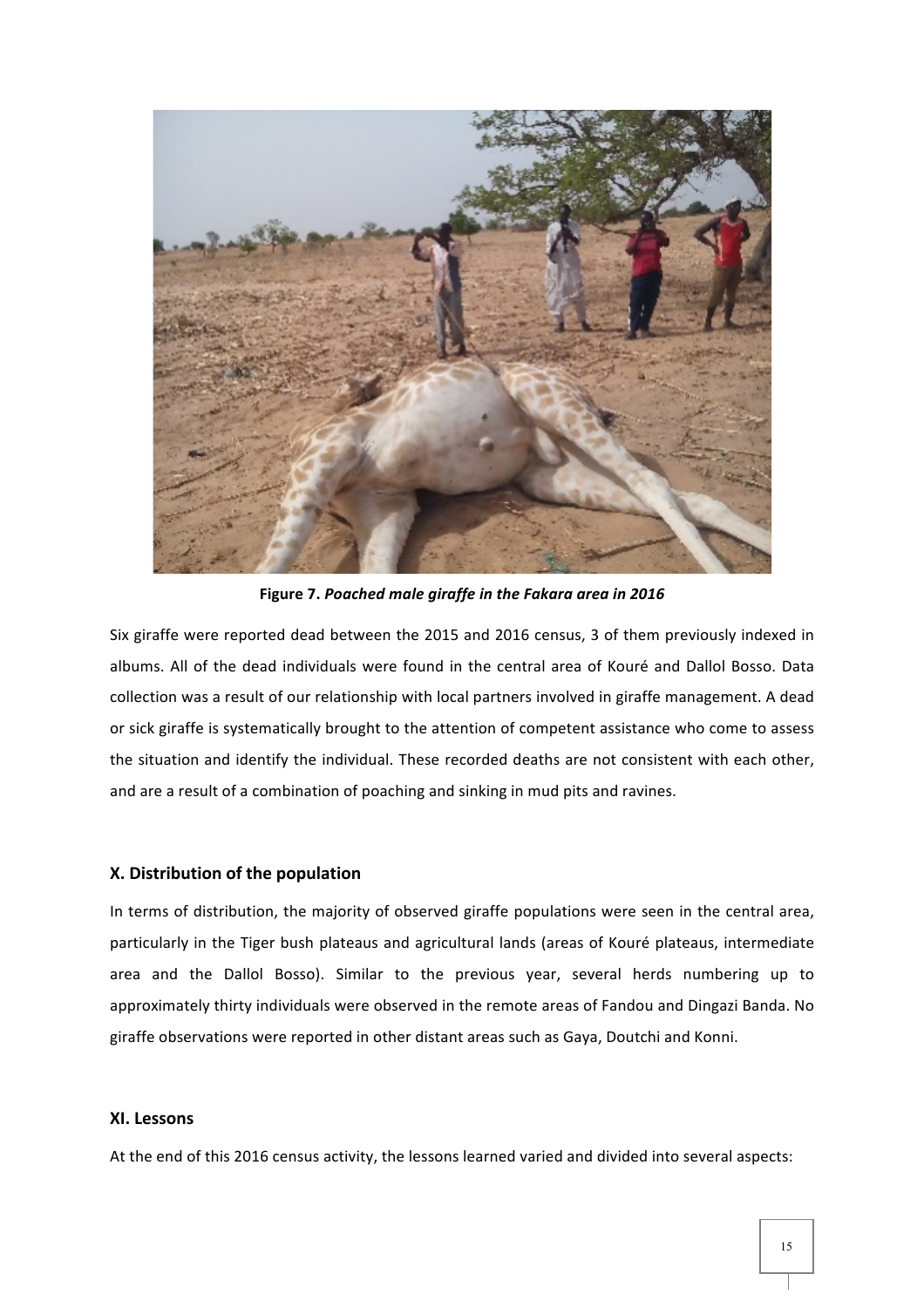

Figure 7. Poached male giraffe in the Fakara area in 2016

Six giraffe were reported dead between the 2015 and 2016 census, 3 of them previously indexed in albums. All of the dead individuals were found in the central area of Kouré and Dallol Bosso. Data collection was a result of our relationship with local partners involved in giraffe management. A dead or sick giraffe is systematically brought to the attention of competent assistance who come to assess the situation and identify the individual. These recorded deaths are not consistent with each other, and are a result of a combination of poaching and sinking in mud pits and ravines.

#### **X.** Distribution of the population

In terms of distribution, the majority of observed giraffe populations were seen in the central area, particularly in the Tiger bush plateaus and agricultural lands (areas of Kouré plateaus, intermediate area and the Dallol Bosso). Similar to the previous year, several herds numbering up to approximately thirty individuals were observed in the remote areas of Fandou and Dingazi Banda. No giraffe observations were reported in other distant areas such as Gaya, Doutchi and Konni.

## **XI.** Lessons

At the end of this 2016 census activity, the lessons learned varied and divided into several aspects: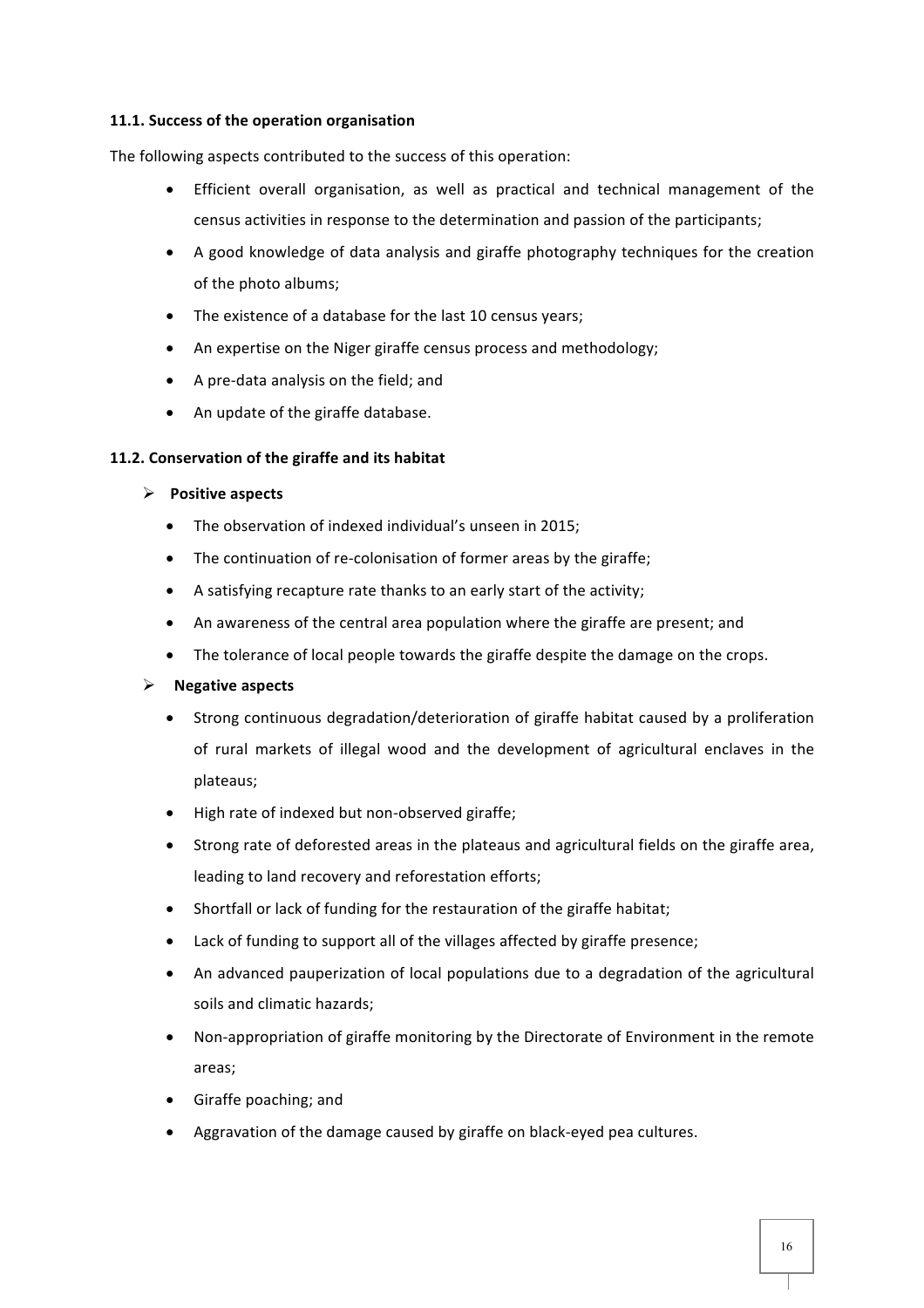#### **11.1. Success of the operation organisation**

The following aspects contributed to the success of this operation:

- Efficient overall organisation, as well as practical and technical management of the census activities in response to the determination and passion of the participants;
- A good knowledge of data analysis and giraffe photography techniques for the creation of the photo albums;
- $\bullet$  The existence of a database for the last 10 census years;
- An expertise on the Niger giraffe census process and methodology;
- A pre-data analysis on the field; and
- An update of the giraffe database.

#### **11.2. Conservation of the giraffe and its habitat**

#### **▶ Positive aspects**

- The observation of indexed individual's unseen in 2015;
- The continuation of re-colonisation of former areas by the giraffe;
- A satisfying recapture rate thanks to an early start of the activity;
- An awareness of the central area population where the giraffe are present; and
- $\bullet$  The tolerance of local people towards the giraffe despite the damage on the crops.

#### > Negative aspects

- Strong continuous degradation/deterioration of giraffe habitat caused by a proliferation of rural markets of illegal wood and the development of agricultural enclaves in the plateaus;
- High rate of indexed but non-observed giraffe;
- $\bullet$  Strong rate of deforested areas in the plateaus and agricultural fields on the giraffe area. leading to land recovery and reforestation efforts;
- Shortfall or lack of funding for the restauration of the giraffe habitat;
- $\bullet$  Lack of funding to support all of the villages affected by giraffe presence;
- An advanced pauperization of local populations due to a degradation of the agricultural soils and climatic hazards;
- Non-appropriation of giraffe monitoring by the Directorate of Environment in the remote areas;
- $\bullet$  Giraffe poaching; and
- Aggravation of the damage caused by giraffe on black-eyed pea cultures.